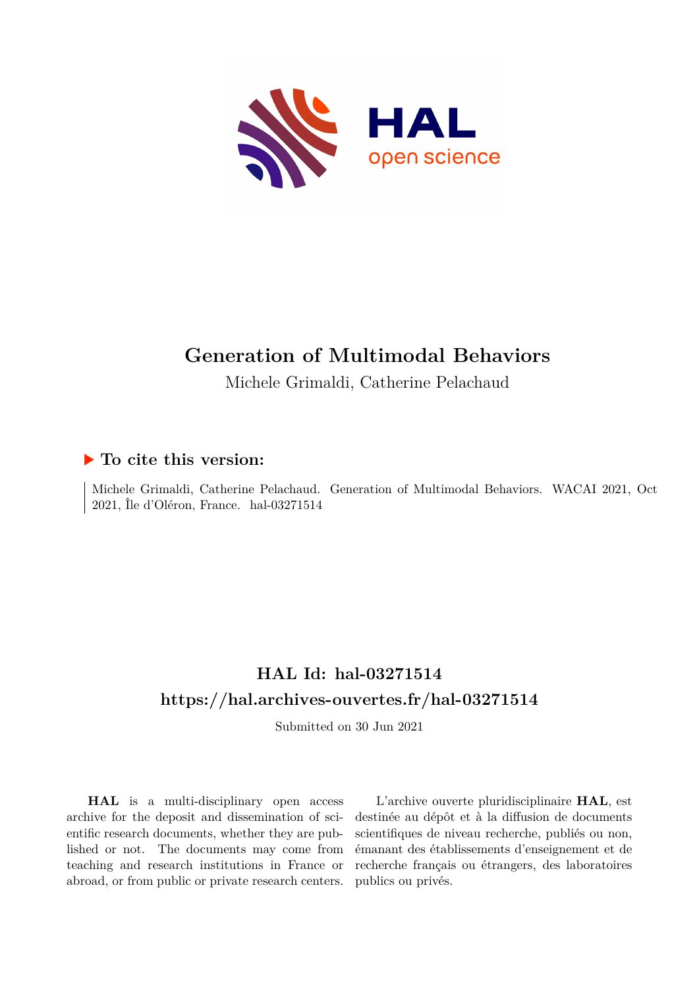

# **Generation of Multimodal Behaviors**

Michele Grimaldi, Catherine Pelachaud

## **To cite this version:**

Michele Grimaldi, Catherine Pelachaud. Generation of Multimodal Behaviors. WACAI 2021, Oct  $2021$ , Île d'Oléron, France. hal-03271514

## **HAL Id: hal-03271514 <https://hal.archives-ouvertes.fr/hal-03271514>**

Submitted on 30 Jun 2021

**HAL** is a multi-disciplinary open access archive for the deposit and dissemination of scientific research documents, whether they are published or not. The documents may come from teaching and research institutions in France or abroad, or from public or private research centers.

L'archive ouverte pluridisciplinaire **HAL**, est destinée au dépôt et à la diffusion de documents scientifiques de niveau recherche, publiés ou non, émanant des établissements d'enseignement et de recherche français ou étrangers, des laboratoires publics ou privés.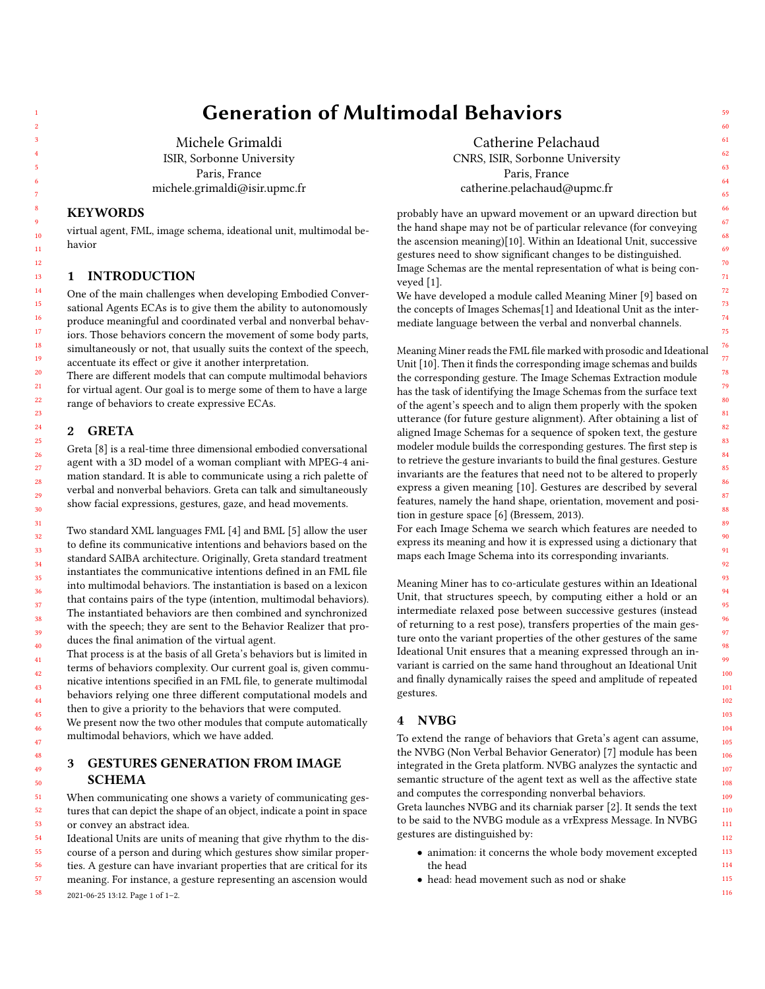## Generation of Multimodal Behaviors

Michele Grimaldi ISIR, Sorbonne University Paris, France michele.grimaldi@isir.upmc.fr

### **KEYWORDS**

virtual agent, FML, image schema, ideational unit, multimodal behavior

#### 1 INTRODUCTION

One of the main challenges when developing Embodied Conversational Agents ECAs is to give them the ability to autonomously produce meaningful and coordinated verbal and nonverbal behaviors. Those behaviors concern the movement of some body parts, simultaneously or not, that usually suits the context of the speech, accentuate its effect or give it another interpretation.

There are different models that can compute multimodal behaviors for virtual agent. Our goal is to merge some of them to have a large range of behaviors to create expressive ECAs.

#### 2 GRETA

Greta [8] is a real-time three dimensional embodied conversational agent with a 3D model of a woman compliant with MPEG-4 animation standard. It is able to communicate using a rich palette of verbal and nonverbal behaviors. Greta can talk and simultaneously show facial expressions, gestures, gaze, and head movements.

Two standard XML languages FML [4] and BML [5] allow the user to define its communicative intentions and behaviors based on the standard SAIBA architecture. Originally, Greta standard treatment instantiates the communicative intentions defined in an FML file into multimodal behaviors. The instantiation is based on a lexicon that contains pairs of the type (intention, multimodal behaviors). The instantiated behaviors are then combined and synchronized with the speech; they are sent to the Behavior Realizer that produces the final animation of the virtual agent.

That process is at the basis of all Greta's behaviors but is limited in terms of behaviors complexity. Our current goal is, given communicative intentions specified in an FML file, to generate multimodal behaviors relying one three different computational models and then to give a priority to the behaviors that were computed.

We present now the two other modules that compute automatically multimodal behaviors, which we have added.

## 3 GESTURES GENERATION FROM IMAGE SCHEMA

When communicating one shows a variety of communicating gestures that can depict the shape of an object, indicate a point in space or convey an abstract idea.

Ideational Units are units of meaning that give rhythm to the discourse of a person and during which gestures show similar properties. A gesture can have invariant properties that are critical for its meaning. For instance, a gesture representing an ascension would 2021-06-25 13:12. Page 1 of 1–2.

Catherine Pelachaud CNRS, ISIR, Sorbonne University Paris, France catherine.pelachaud@upmc.fr

probably have an upward movement or an upward direction but the hand shape may not be of particular relevance (for conveying the ascension meaning)[10]. Within an Ideational Unit, successive gestures need to show significant changes to be distinguished. Image Schemas are the mental representation of what is being conveyed [1].

We have developed a module called Meaning Miner [9] based on the concepts of Images Schemas[1] and Ideational Unit as the intermediate language between the verbal and nonverbal channels.

Meaning Miner reads the FML file marked with prosodic and Ideational Unit [10]. Then it finds the corresponding image schemas and builds the corresponding gesture. The Image Schemas Extraction module has the task of identifying the Image Schemas from the surface text of the agent's speech and to align them properly with the spoken utterance (for future gesture alignment). After obtaining a list of aligned Image Schemas for a sequence of spoken text, the gesture modeler module builds the corresponding gestures. The first step is to retrieve the gesture invariants to build the final gestures. Gesture invariants are the features that need not to be altered to properly express a given meaning [10]. Gestures are described by several features, namely the hand shape, orientation, movement and position in gesture space [6] (Bressem, 2013).

For each Image Schema we search which features are needed to express its meaning and how it is expressed using a dictionary that maps each Image Schema into its corresponding invariants.

Meaning Miner has to co-articulate gestures within an Ideational Unit, that structures speech, by computing either a hold or an intermediate relaxed pose between successive gestures (instead of returning to a rest pose), transfers properties of the main gesture onto the variant properties of the other gestures of the same Ideational Unit ensures that a meaning expressed through an invariant is carried on the same hand throughout an Ideational Unit and finally dynamically raises the speed and amplitude of repeated gestures.

### 4 NVBG

To extend the range of behaviors that Greta's agent can assume, the NVBG (Non Verbal Behavior Generator) [7] module has been integrated in the Greta platform. NVBG analyzes the syntactic and semantic structure of the agent text as well as the affective state and computes the corresponding nonverbal behaviors.

Greta launches NVBG and its charniak parser [2]. It sends the text to be said to the NVBG module as a vrExpress Message. In NVBG gestures are distinguished by:

- animation: it concerns the whole body movement excepted the head
- head: head movement such as nod or shake

59

57 58

1 2